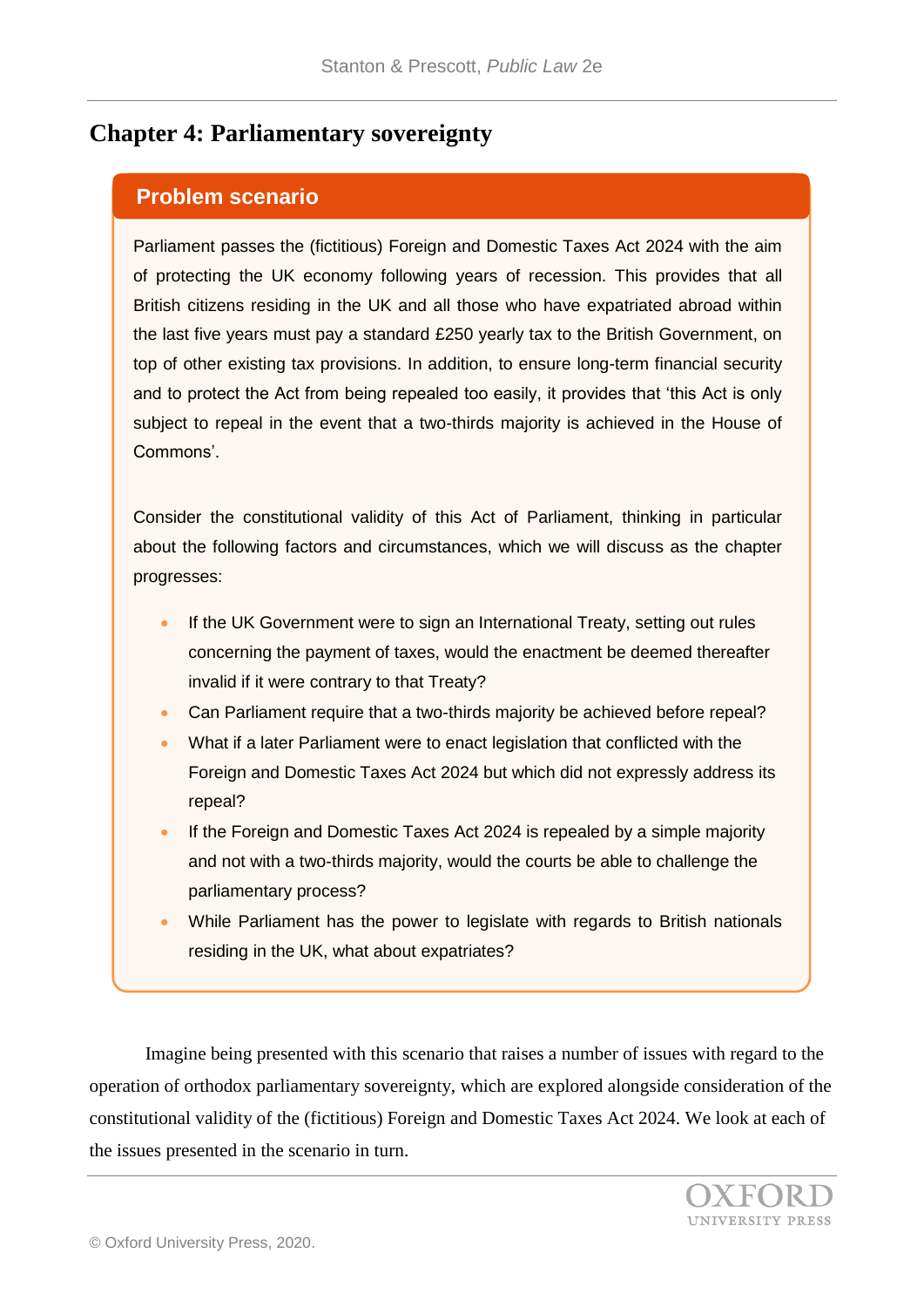## **Chapter 4: Parliamentary sovereignty**

## **Problem scenario**

Parliament passes the (fictitious) Foreign and Domestic Taxes Act 2024 with the aim of protecting the UK economy following years of recession. This provides that all British citizens residing in the UK and all those who have expatriated abroad within the last five years must pay a standard £250 yearly tax to the British Government, on top of other existing tax provisions. In addition, to ensure long-term financial security and to protect the Act from being repealed too easily, it provides that 'this Act is only subject to repeal in the event that a two-thirds majority is achieved in the House of Commons'.

Consider the constitutional validity of this Act of Parliament, thinking in particular about the following factors and circumstances, which we will discuss as the chapter progresses:

- If the UK Government were to sign an International Treaty, setting out rules concerning the payment of taxes, would the enactment be deemed thereafter invalid if it were contrary to that Treaty?
- Can Parliament require that a two-thirds majority be achieved before repeal?
- What if a later Parliament were to enact legislation that conflicted with the Foreign and Domestic Taxes Act 2024 but which did not expressly address its repeal?
- If the Foreign and Domestic Taxes Act 2024 is repealed by a simple majority and not with a two-thirds majority, would the courts be able to challenge the parliamentary process?
- While Parliament has the power to legislate with regards to British nationals residing in the UK, what about expatriates?

Imagine being presented with this scenario that raises a number of issues with regard to the operation of orthodox parliamentary sovereignty, which are explored alongside consideration of the constitutional validity of the (fictitious) Foreign and Domestic Taxes Act 2024. We look at each of the issues presented in the scenario in turn.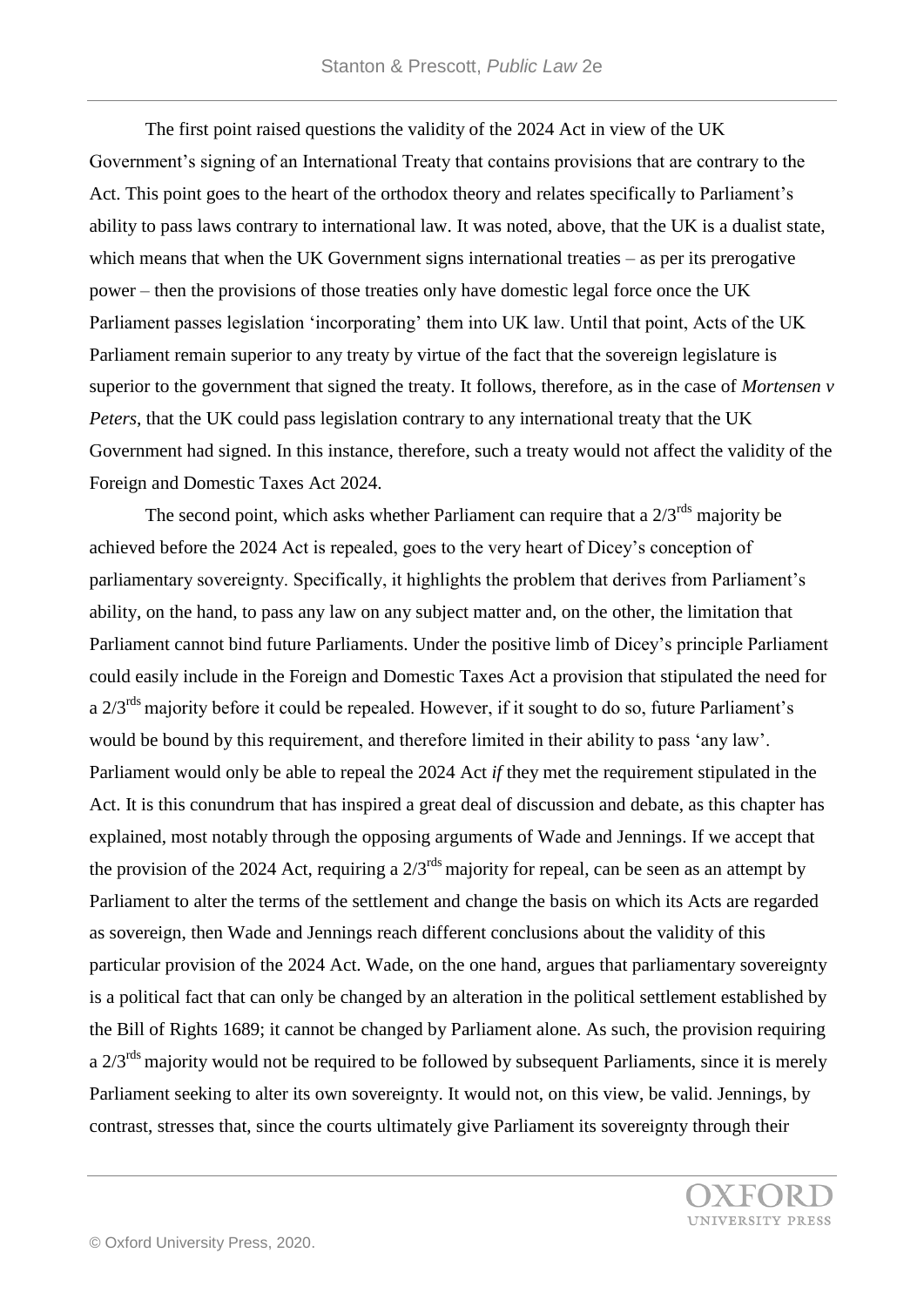The first point raised questions the validity of the 2024 Act in view of the UK Government's signing of an International Treaty that contains provisions that are contrary to the Act. This point goes to the heart of the orthodox theory and relates specifically to Parliament's ability to pass laws contrary to international law. It was noted, above, that the UK is a dualist state, which means that when the UK Government signs international treaties – as per its prerogative power – then the provisions of those treaties only have domestic legal force once the UK Parliament passes legislation 'incorporating' them into UK law. Until that point, Acts of the UK Parliament remain superior to any treaty by virtue of the fact that the sovereign legislature is superior to the government that signed the treaty. It follows, therefore, as in the case of *Mortensen v Peters*, that the UK could pass legislation contrary to any international treaty that the UK Government had signed. In this instance, therefore, such a treaty would not affect the validity of the Foreign and Domestic Taxes Act 2024.

The second point, which asks whether Parliament can require that a  $2/3^{rds}$  majority be achieved before the 2024 Act is repealed, goes to the very heart of Dicey's conception of parliamentary sovereignty. Specifically, it highlights the problem that derives from Parliament's ability, on the hand, to pass any law on any subject matter and, on the other, the limitation that Parliament cannot bind future Parliaments. Under the positive limb of Dicey's principle Parliament could easily include in the Foreign and Domestic Taxes Act a provision that stipulated the need for a  $2/3^{rds}$  majority before it could be repealed. However, if it sought to do so, future Parliament's would be bound by this requirement, and therefore limited in their ability to pass 'any law'. Parliament would only be able to repeal the 2024 Act *if* they met the requirement stipulated in the Act. It is this conundrum that has inspired a great deal of discussion and debate, as this chapter has explained, most notably through the opposing arguments of Wade and Jennings. If we accept that the provision of the 2024 Act, requiring a  $2/3^{rds}$  majority for repeal, can be seen as an attempt by Parliament to alter the terms of the settlement and change the basis on which its Acts are regarded as sovereign, then Wade and Jennings reach different conclusions about the validity of this particular provision of the 2024 Act. Wade, on the one hand, argues that parliamentary sovereignty is a political fact that can only be changed by an alteration in the political settlement established by the Bill of Rights 1689; it cannot be changed by Parliament alone. As such, the provision requiring a  $2/3^{rds}$  majority would not be required to be followed by subsequent Parliaments, since it is merely Parliament seeking to alter its own sovereignty. It would not, on this view, be valid. Jennings, by contrast, stresses that, since the courts ultimately give Parliament its sovereignty through their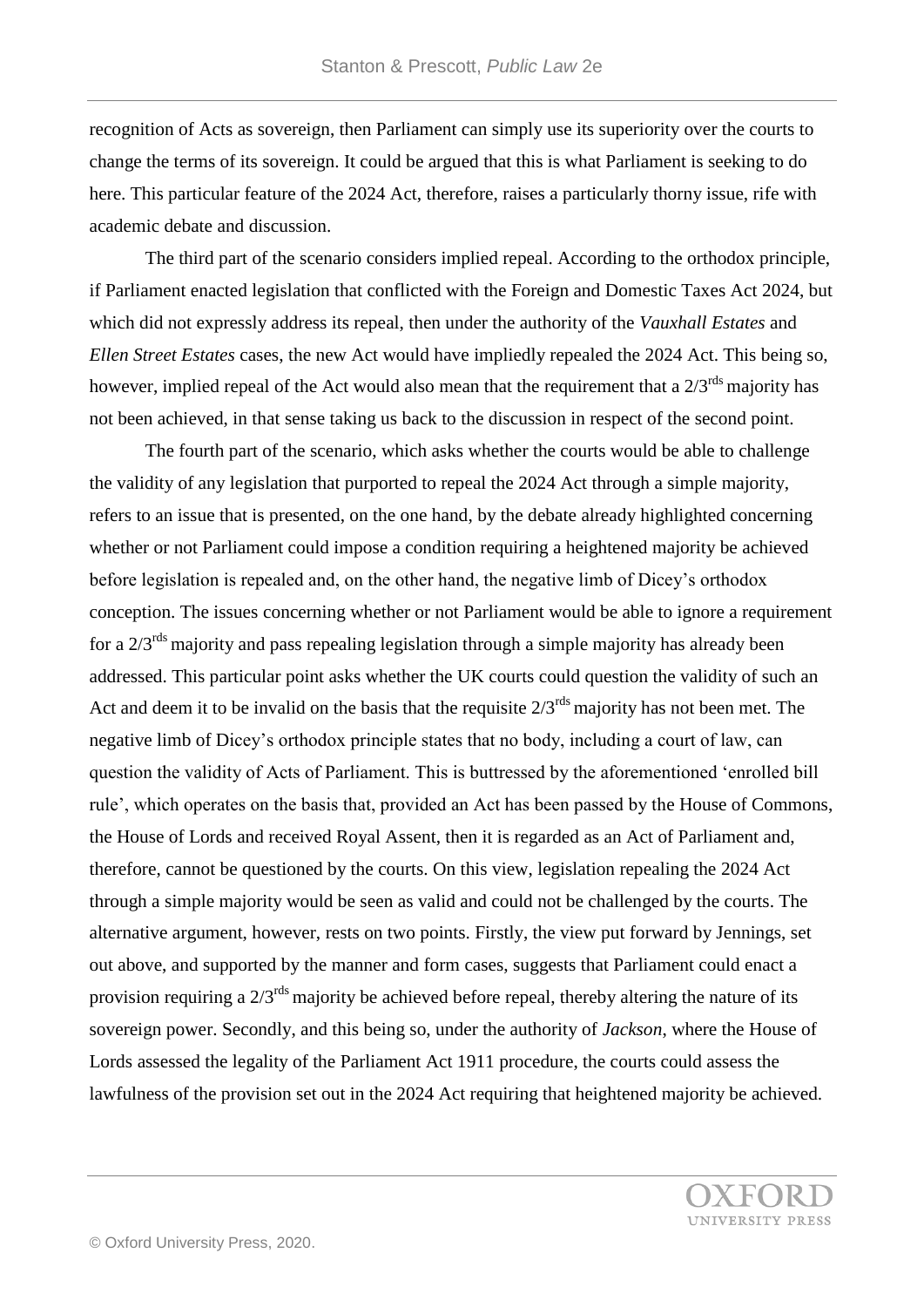recognition of Acts as sovereign, then Parliament can simply use its superiority over the courts to change the terms of its sovereign. It could be argued that this is what Parliament is seeking to do here. This particular feature of the 2024 Act, therefore, raises a particularly thorny issue, rife with academic debate and discussion.

The third part of the scenario considers implied repeal. According to the orthodox principle, if Parliament enacted legislation that conflicted with the Foreign and Domestic Taxes Act 2024, but which did not expressly address its repeal, then under the authority of the *Vauxhall Estates* and *Ellen Street Estates* cases, the new Act would have impliedly repealed the 2024 Act. This being so, however, implied repeal of the Act would also mean that the requirement that a  $2/3^{rds}$  majority has not been achieved, in that sense taking us back to the discussion in respect of the second point.

The fourth part of the scenario, which asks whether the courts would be able to challenge the validity of any legislation that purported to repeal the 2024 Act through a simple majority, refers to an issue that is presented, on the one hand, by the debate already highlighted concerning whether or not Parliament could impose a condition requiring a heightened majority be achieved before legislation is repealed and, on the other hand, the negative limb of Dicey's orthodox conception. The issues concerning whether or not Parliament would be able to ignore a requirement for a  $2/3^{rds}$  majority and pass repealing legislation through a simple majority has already been addressed. This particular point asks whether the UK courts could question the validity of such an Act and deem it to be invalid on the basis that the requisite  $2/3^{rds}$  majority has not been met. The negative limb of Dicey's orthodox principle states that no body, including a court of law, can question the validity of Acts of Parliament. This is buttressed by the aforementioned 'enrolled bill rule', which operates on the basis that, provided an Act has been passed by the House of Commons, the House of Lords and received Royal Assent, then it is regarded as an Act of Parliament and, therefore, cannot be questioned by the courts. On this view, legislation repealing the 2024 Act through a simple majority would be seen as valid and could not be challenged by the courts. The alternative argument, however, rests on two points. Firstly, the view put forward by Jennings, set out above, and supported by the manner and form cases, suggests that Parliament could enact a provision requiring a  $2/3^{rds}$  majority be achieved before repeal, thereby altering the nature of its sovereign power. Secondly, and this being so, under the authority of *Jackson*, where the House of Lords assessed the legality of the Parliament Act 1911 procedure, the courts could assess the lawfulness of the provision set out in the 2024 Act requiring that heightened majority be achieved.